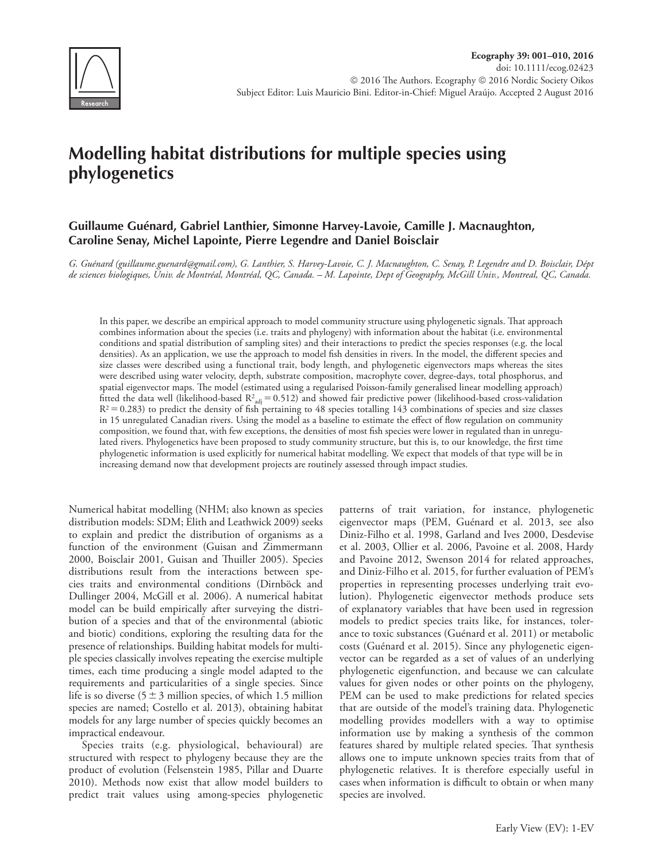

# **Modelling habitat distributions for multiple species using phylogenetics**

# **Guillaume Guénard, Gabriel Lanthier, Simonne Harvey-Lavoie, Camille J. Macnaughton, Caroline Senay, Michel Lapointe, Pierre Legendre and Daniel Boisclair**

*G. Guénard (guillaume.guenard@gmail.com), G. Lanthier, S. Harvey-Lavoie, C. J. Macnaughton, C. Senay, P. Legendre and D. Boisclair, Dépt de sciences biologiques, Univ. de Montréal, Montréal, QC, Canada. – M. Lapointe, Dept of Geography, McGill Univ., Montreal, QC, Canada.*

In this paper, we describe an empirical approach to model community structure using phylogenetic signals. That approach combines information about the species (i.e. traits and phylogeny) with information about the habitat (i.e. environmental conditions and spatial distribution of sampling sites) and their interactions to predict the species responses (e.g. the local densities). As an application, we use the approach to model fish densities in rivers. In the model, the different species and size classes were described using a functional trait, body length, and phylogenetic eigenvectors maps whereas the sites were described using water velocity, depth, substrate composition, macrophyte cover, degree-days, total phosphorus, and spatial eigenvector maps. The model (estimated using a regularised Poisson-family generalised linear modelling approach) fitted the data well (likelihood-based  $R^2_{adj} = 0.512$ ) and showed fair predictive power (likelihood-based cross-validation  $R^2$  = 0.283) to predict the density of fish pertaining to 48 species totalling 143 combinations of species and size classes in 15 unregulated Canadian rivers. Using the model as a baseline to estimate the effect of flow regulation on community composition, we found that, with few exceptions, the densities of most fish species were lower in regulated than in unregulated rivers. Phylogenetics have been proposed to study community structure, but this is, to our knowledge, the first time phylogenetic information is used explicitly for numerical habitat modelling. We expect that models of that type will be in increasing demand now that development projects are routinely assessed through impact studies.

Numerical habitat modelling (NHM; also known as species distribution models: SDM; Elith and Leathwick 2009) seeks to explain and predict the distribution of organisms as a function of the environment (Guisan and Zimmermann 2000, Boisclair 2001, Guisan and Thuiller 2005). Species distributions result from the interactions between species traits and environmental conditions (Dirnböck and Dullinger 2004, McGill et al. 2006). A numerical habitat model can be build empirically after surveying the distribution of a species and that of the environmental (abiotic and biotic) conditions, exploring the resulting data for the presence of relationships. Building habitat models for multiple species classically involves repeating the exercise multiple times, each time producing a single model adapted to the requirements and particularities of a single species. Since life is so diverse ( $5±3$  million species, of which 1.5 million species are named; Costello et al. 2013), obtaining habitat models for any large number of species quickly becomes an impractical endeavour.

Species traits (e.g. physiological, behavioural) are structured with respect to phylogeny because they are the product of evolution (Felsenstein 1985, Pillar and Duarte 2010). Methods now exist that allow model builders to predict trait values using among-species phylogenetic patterns of trait variation, for instance, phylogenetic eigenvector maps (PEM, Guénard et al. 2013, see also Diniz-Filho et al. 1998, Garland and Ives 2000, Desdevise et al. 2003, Ollier et al. 2006, Pavoine et al. 2008, Hardy and Pavoine 2012, Swenson 2014 for related approaches, and Diniz-Filho et al. 2015, for further evaluation of PEM's properties in representing processes underlying trait evolution). Phylogenetic eigenvector methods produce sets of explanatory variables that have been used in regression models to predict species traits like, for instances, tolerance to toxic substances (Guénard et al. 2011) or metabolic costs (Guénard et al. 2015). Since any phylogenetic eigenvector can be regarded as a set of values of an underlying phylogenetic eigenfunction, and because we can calculate values for given nodes or other points on the phylogeny, PEM can be used to make predictions for related species that are outside of the model's training data. Phylogenetic modelling provides modellers with a way to optimise information use by making a synthesis of the common features shared by multiple related species. That synthesis allows one to impute unknown species traits from that of phylogenetic relatives. It is therefore especially useful in cases when information is difficult to obtain or when many species are involved.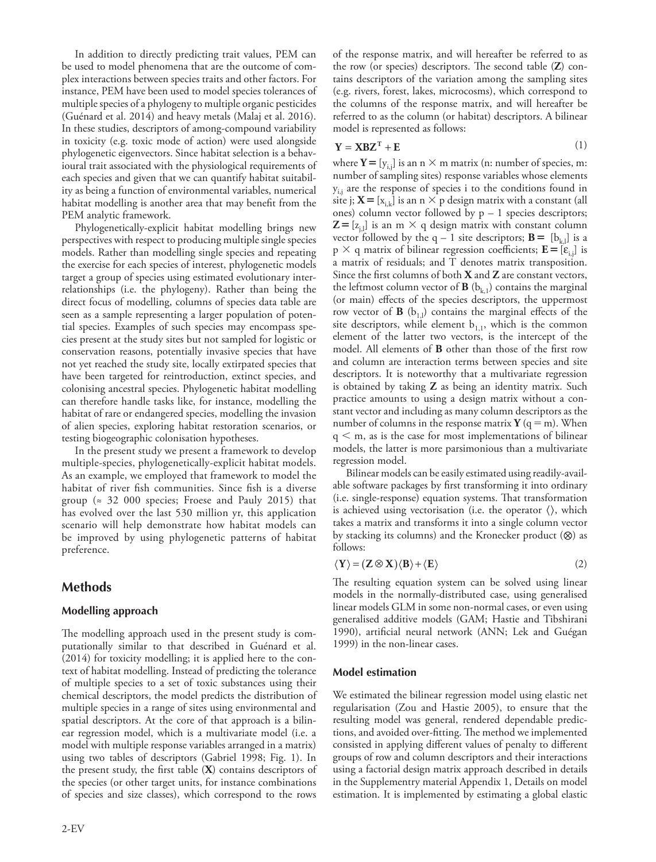In addition to directly predicting trait values, PEM can be used to model phenomena that are the outcome of complex interactions between species traits and other factors. For instance, PEM have been used to model species tolerances of multiple species of a phylogeny to multiple organic pesticides (Guénard et al. 2014) and heavy metals (Malaj et al. 2016). In these studies, descriptors of among-compound variability in toxicity (e.g. toxic mode of action) were used alongside phylogenetic eigenvectors. Since habitat selection is a behavioural trait associated with the physiological requirements of each species and given that we can quantify habitat suitability as being a function of environmental variables, numerical habitat modelling is another area that may benefit from the PEM analytic framework.

Phylogenetically-explicit habitat modelling brings new perspectives with respect to producing multiple single species models. Rather than modelling single species and repeating the exercise for each species of interest, phylogenetic models target a group of species using estimated evolutionary interrelationships (i.e. the phylogeny). Rather than being the direct focus of modelling, columns of species data table are seen as a sample representing a larger population of potential species. Examples of such species may encompass species present at the study sites but not sampled for logistic or conservation reasons, potentially invasive species that have not yet reached the study site, locally extirpated species that have been targeted for reintroduction, extinct species, and colonising ancestral species. Phylogenetic habitat modelling can therefore handle tasks like, for instance, modelling the habitat of rare or endangered species, modelling the invasion of alien species, exploring habitat restoration scenarios, or testing biogeographic colonisation hypotheses.

In the present study we present a framework to develop multiple-species, phylogenetically-explicit habitat models. As an example, we employed that framework to model the habitat of river fish communities. Since fish is a diverse group ( $\approx$  32 000 species; Froese and Pauly 2015) that has evolved over the last 530 million yr, this application scenario will help demonstrate how habitat models can be improved by using phylogenetic patterns of habitat preference.

# **Methods**

## **Modelling approach**

The modelling approach used in the present study is computationally similar to that described in Guénard et al. (2014) for toxicity modelling; it is applied here to the context of habitat modelling. Instead of predicting the tolerance of multiple species to a set of toxic substances using their chemical descriptors, the model predicts the distribution of multiple species in a range of sites using environmental and spatial descriptors. At the core of that approach is a bilinear regression model, which is a multivariate model (i.e. a model with multiple response variables arranged in a matrix) using two tables of descriptors (Gabriel 1998; Fig. 1). In the present study, the first table (**X**) contains descriptors of the species (or other target units, for instance combinations of species and size classes), which correspond to the rows

of the response matrix, and will hereafter be referred to as the row (or species) descriptors. The second table (**Z**) contains descriptors of the variation among the sampling sites (e.g. rivers, forest, lakes, microcosms), which correspond to the columns of the response matrix, and will hereafter be referred to as the column (or habitat) descriptors. A bilinear model is represented as follows:

$$
Y = XBZT + E
$$
 (1)

where  $Y = [y_{i,j}]$  is an n  $\times$  m matrix (n: number of species, m: number of sampling sites) response variables whose elements  $y_{i,j}$  are the response of species i to the conditions found in site j;  $X = [x_{i,k}]$  is an n  $\times$  p design matrix with a constant (all ones) column vector followed by  $p - 1$  species descriptors;  $\mathbf{Z} = [z_{i,j}]$  is an m  $\times$  q design matrix with constant column vector followed by the q – 1 site descriptors;  $\mathbf{B} = [b_{k_1}]$  is a  $p \times q$  matrix of bilinear regression coefficients;  $\mathbf{E} = [\varepsilon_{i,j}]$  is a matrix of residuals; and T denotes matrix transposition. Since the first columns of both **X** and **Z** are constant vectors, the leftmost column vector of  $\mathbf{B}$  ( $b_{k,1}$ ) contains the marginal (or main) effects of the species descriptors, the uppermost row vector of  $\bf{B}$  ( $b_{1,l}$ ) contains the marginal effects of the site descriptors, while element  $b_{1,1}$ , which is the common element of the latter two vectors, is the intercept of the model. All elements of **B** other than those of the first row and column are interaction terms between species and site descriptors. It is noteworthy that a multivariate regression is obtained by taking **Z** as being an identity matrix. Such practice amounts to using a design matrix without a constant vector and including as many column descriptors as the number of columns in the response matrix **Y** ( $q = m$ ). When  $q < m$ , as is the case for most implementations of bilinear models, the latter is more parsimonious than a multivariate regression model.

Bilinear models can be easily estimated using readily-available software packages by first transforming it into ordinary (i.e. single-response) equation systems. That transformation is achieved using vectorisation (i.e. the operator  $\langle \rangle$ , which takes a matrix and transforms it into a single column vector by stacking its columns) and the Kronecker product (⊗) as follows:

$$
\langle \mathbf{Y} \rangle = (\mathbf{Z} \otimes \mathbf{X}) \langle \mathbf{B} \rangle + \langle \mathbf{E} \rangle \tag{2}
$$

The resulting equation system can be solved using linear models in the normally-distributed case, using generalised linear models GLM in some non-normal cases, or even using generalised additive models (GAM; Hastie and Tibshirani 1990), artificial neural network (ANN; Lek and Guégan 1999) in the non-linear cases.

#### **Model estimation**

We estimated the bilinear regression model using elastic net regularisation (Zou and Hastie 2005), to ensure that the resulting model was general, rendered dependable predictions, and avoided over-fitting. The method we implemented consisted in applying different values of penalty to different groups of row and column descriptors and their interactions using a factorial design matrix approach described in details in the Supplementry material Appendix 1, Details on model estimation. It is implemented by estimating a global elastic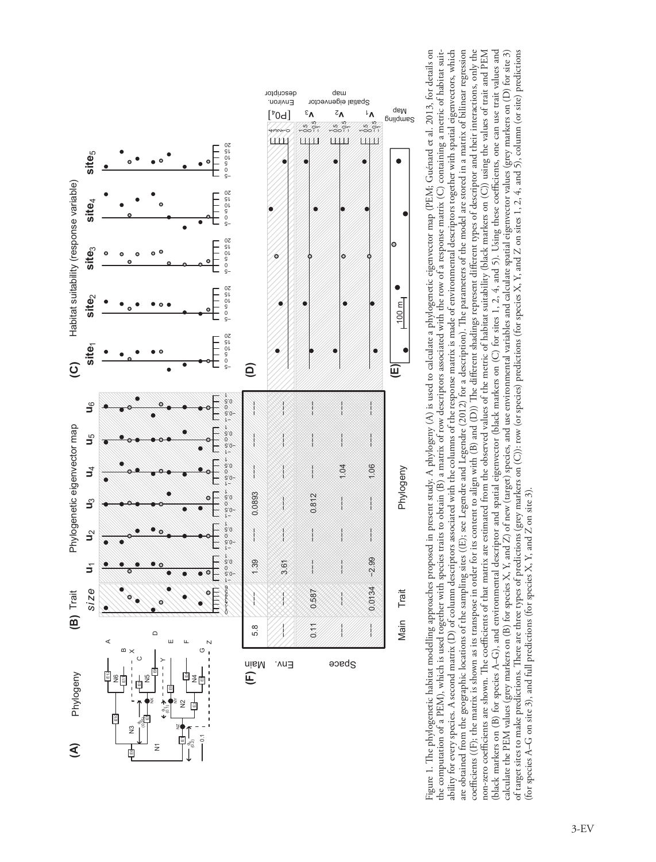

Figure 1. The phylogenetic habitat modelling approaches proposed in present study. A phylogeny (A) is used to calculate a phylogenetic eigenvector map (PEM; Guénard et al. 2013, for details on Figure 1. The phylogenetic habitat modelling approaches proposed in present study. A phylogeny (A) is used to calculate a phylogenetic eigenvector map (PEM; Guénard et al. 2013, for details on the computation of a PEM), which is used together with species traits to obtain (B) a matrix of row descriptors associated with the row of a response matrix (C) containing a metric of habitat suitability for every species. A second matrix (D) of column descriptors associated with the columns of the response matrix is made of environmental descriptors together with spatial eigenvectors, which ability for every species. A second matrix (D) of column descriptors associated with the columns of the response matrix is made of environmental descriptors together with spatial eigenvectors, which are obtained from the geographic locations of the sampling sites ((E); see Legendre and Legendre (2012) for a description). The parameters of the model are stored in a matrix of bilinear regression are obtained from the geographic locations of the sampling sites ((E); see Legendre and Legendre (2012) for a description). The parameters of the model are stored in a matrix of bilinear regression coefficients ((F); the matrix is shown as its transpose in order for its content to align with (B) and (D)) The different shadings represent different types of descriptor and their interactions, only the coefficients ((F); the matrix is shown as its transpose in order for its content to align with (B) and (D)) The different shadings represent different types of descriptor and their interactions, only the non-zero coefficients are shown. The coefficients of that matrix are estimated from the observed values of the metric of habitat suitability (black markers on (C)) using the values of trait and PEM (black markers on (B) for species A-G), and environmental descriptor and spatial eigenvector (black markers on (C) for sites 1, 2, 4, and 5). Using these coefficients, one can use trait values and (black markers on (B) for species A–G), and environmental descriptor and spatial eigenvector (black markers on (C) for sites 1, 2, 4, and 5). Using these coefficients, one can use trait values and calculate the PEM values (grey markers on (B) for species X, Y, and Z) of new (target) species, and use environmental variables and calculate spatial eigenvector values (grey markers on (D) for site 3) calculate the PEM values (grey markers on (B) for species X, Y, and Z) of new (target) species, and use environmental variables and calculate spatial eigenvector values (grey markers on (D) for site 3) of target sites to make predictions. There are three types of predictions (grey markers on (C)): row (or species) predictions (for species X, Y, and Z on sites 1, 2, 4, and 5), column (or site) predictions of target sites to make predictions. There are three types of predictions (grey markers on (C)): row (or species) predictions (for species X, Y, and Z on sites 1, 2, 4, and 5), column (or site) predictions non-zero coefficients are shown. The coefficients of that matrix are estimated from the observed values of the metric of habitat suitability (black markers on (C)) using the values of trait and PEM the computation of a PEM), which is used together with species traits to obtain (B) a matrix of row descriptors associated with the row of a response matrix (C) containing a metric of habitat suitfor species A-G on site 3), and full predictions (for species X, Y, and Z on site 3). (for species A–G on site 3), and full predictions (for species X, Y, and Z on site 3).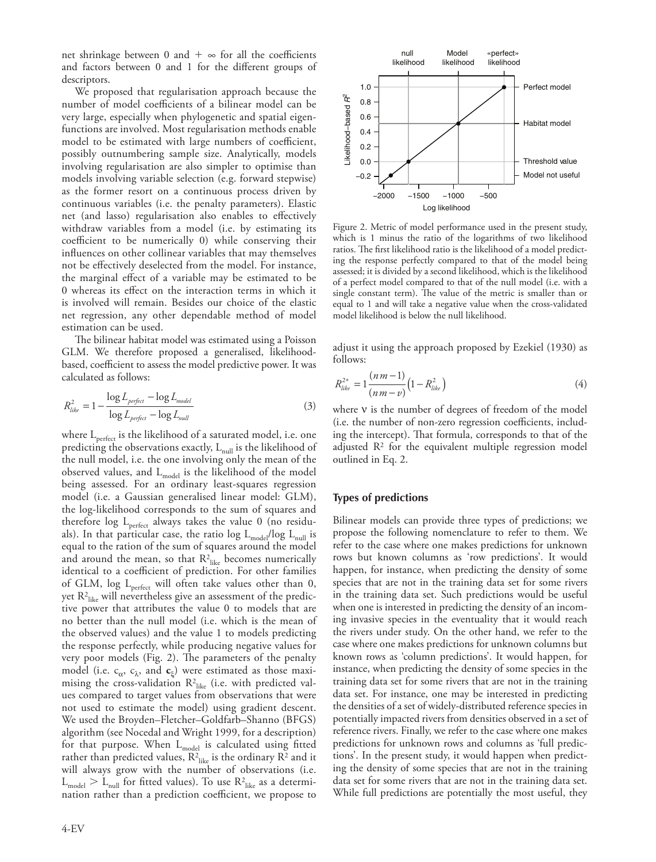net shrinkage between 0 and  $+$   $\infty$  for all the coefficients and factors between 0 and 1 for the different groups of descriptors.

We proposed that regularisation approach because the number of model coefficients of a bilinear model can be very large, especially when phylogenetic and spatial eigenfunctions are involved. Most regularisation methods enable model to be estimated with large numbers of coefficient, possibly outnumbering sample size. Analytically, models involving regularisation are also simpler to optimise than models involving variable selection (e.g. forward stepwise) as the former resort on a continuous process driven by continuous variables (i.e. the penalty parameters). Elastic net (and lasso) regularisation also enables to effectively withdraw variables from a model (i.e. by estimating its coefficient to be numerically 0) while conserving their influences on other collinear variables that may themselves not be effectively deselected from the model. For instance, the marginal effect of a variable may be estimated to be 0 whereas its effect on the interaction terms in which it is involved will remain. Besides our choice of the elastic net regression, any other dependable method of model estimation can be used.

The bilinear habitat model was estimated using a Poisson GLM. We therefore proposed a generalised, likelihoodbased, coefficient to assess the model predictive power. It was calculated as follows:

$$
R_{like}^2 = 1 - \frac{\log L_{perfect} - \log L_{model}}{\log L_{perfect} - \log L_{null}}
$$
\n(3)

where  $L_{perfect}$  is the likelihood of a saturated model, i.e. one predicting the observations exactly,  $L_{null}$  is the likelihood of the null model, i.e. the one involving only the mean of the observed values, and  $L_{model}$  is the likelihood of the model being assessed. For an ordinary least-squares regression model (i.e. a Gaussian generalised linear model: GLM), the log-likelihood corresponds to the sum of squares and therefore log  $L_{perfect}$  always takes the value 0 (no residuals). In that particular case, the ratio log  $L_{\text{model}}/log L_{\text{null}}$  is equal to the ration of the sum of squares around the model and around the mean, so that  $R^2_{\text{like}}$  becomes numerically identical to a coefficient of prediction. For other families of GLM, log  $L_{perfect}$  will often take values other than 0, yet  $\mathsf{R}^2_{\mathsf{like}}$  will nevertheless give an assessment of the predictive power that attributes the value 0 to models that are no better than the null model (i.e. which is the mean of the observed values) and the value 1 to models predicting the response perfectly, while producing negative values for very poor models (Fig. 2). The parameters of the penalty model (i.e.  $c_{\alpha}$ ,  $c_{\lambda}$ , and  $c_{\xi}$ ) were estimated as those maximising the cross-validation  $\mathsf{R}^2_{\text{like}}$  (i.e. with predicted values compared to target values from observations that were not used to estimate the model) using gradient descent. We used the Broyden–Fletcher–Goldfarb–Shanno (BFGS) algorithm (see Nocedal and Wright 1999, for a description) for that purpose. When  $L_{model}$  is calculated using fitted rather than predicted values,  $R^2_{\text{like}}$  is the ordinary  $R^2$  and it will always grow with the number of observations (i.e.  $L_{\text{model}} > L_{\text{null}}$  for fitted values). To use  $R_{\text{like}}^2$  as a determination rather than a prediction coefficient, we propose to



Figure 2. Metric of model performance used in the present study, which is 1 minus the ratio of the logarithms of two likelihood ratios. The first likelihood ratio is the likelihood of a model predicting the response perfectly compared to that of the model being assessed; it is divided by a second likelihood, which is the likelihood of a perfect model compared to that of the null model (i.e. with a single constant term). The value of the metric is smaller than or equal to 1 and will take a negative value when the cross-validated model likelihood is below the null likelihood.

adjust it using the approach proposed by Ezekiel (1930) as follows:

$$
R_{like}^{2*} = 1 \frac{(nm-1)}{(nm-v)} \Big( 1 - R_{like}^2 \Big)
$$
 (4)

where  $v$  is the number of degrees of freedom of the model (i.e. the number of non-zero regression coefficients, including the intercept). That formula, corresponds to that of the adjusted R2 for the equivalent multiple regression model outlined in Eq. 2.

#### **Types of predictions**

Bilinear models can provide three types of predictions; we propose the following nomenclature to refer to them. We refer to the case where one makes predictions for unknown rows but known columns as 'row predictions'. It would happen, for instance, when predicting the density of some species that are not in the training data set for some rivers in the training data set. Such predictions would be useful when one is interested in predicting the density of an incoming invasive species in the eventuality that it would reach the rivers under study. On the other hand, we refer to the case where one makes predictions for unknown columns but known rows as 'column predictions'. It would happen, for instance, when predicting the density of some species in the training data set for some rivers that are not in the training data set. For instance, one may be interested in predicting the densities of a set of widely-distributed reference species in potentially impacted rivers from densities observed in a set of reference rivers. Finally, we refer to the case where one makes predictions for unknown rows and columns as 'full predictions'. In the present study, it would happen when predicting the density of some species that are not in the training data set for some rivers that are not in the training data set. While full predictions are potentially the most useful, they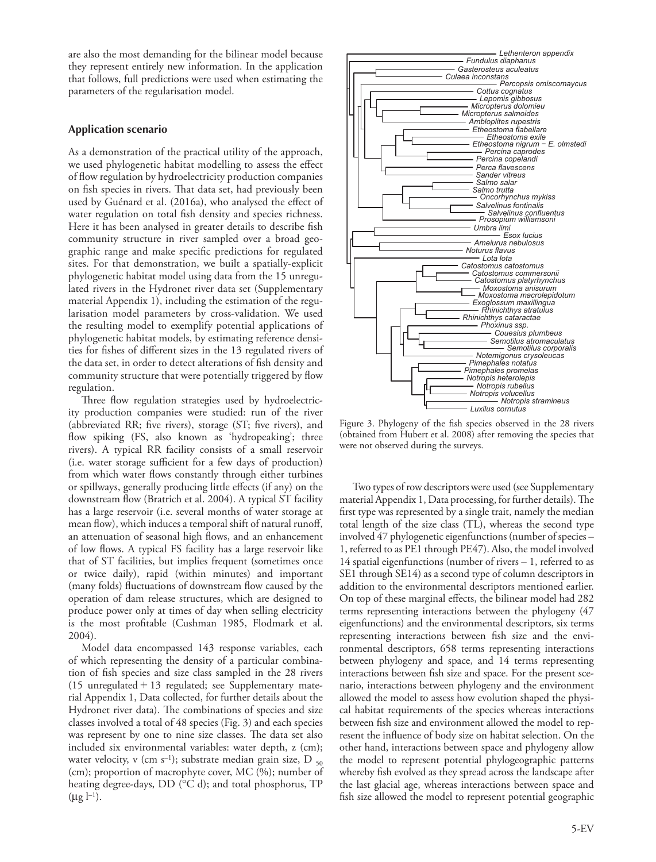are also the most demanding for the bilinear model because they represent entirely new information. In the application that follows, full predictions were used when estimating the parameters of the regularisation model.

# **Application scenario**

As a demonstration of the practical utility of the approach, we used phylogenetic habitat modelling to assess the effect of flow regulation by hydroelectricity production companies on fish species in rivers. That data set, had previously been used by Guénard et al. (2016a), who analysed the effect of water regulation on total fish density and species richness. Here it has been analysed in greater details to describe fish community structure in river sampled over a broad geographic range and make specific predictions for regulated sites. For that demonstration, we built a spatially-explicit phylogenetic habitat model using data from the 15 unregulated rivers in the Hydronet river data set (Supplementary material Appendix 1), including the estimation of the regularisation model parameters by cross-validation. We used the resulting model to exemplify potential applications of phylogenetic habitat models, by estimating reference densities for fishes of different sizes in the 13 regulated rivers of the data set, in order to detect alterations of fish density and community structure that were potentially triggered by flow regulation.

Three flow regulation strategies used by hydroelectricity production companies were studied: run of the river (abbreviated RR; five rivers), storage (ST; five rivers), and flow spiking (FS, also known as 'hydropeaking'; three rivers). A typical RR facility consists of a small reservoir (i.e. water storage sufficient for a few days of production) from which water flows constantly through either turbines or spillways, generally producing little effects (if any) on the downstream flow (Bratrich et al. 2004). A typical ST facility has a large reservoir (i.e. several months of water storage at mean flow), which induces a temporal shift of natural runoff, an attenuation of seasonal high flows, and an enhancement of low flows. A typical FS facility has a large reservoir like that of ST facilities, but implies frequent (sometimes once or twice daily), rapid (within minutes) and important (many folds) fluctuations of downstream flow caused by the operation of dam release structures, which are designed to produce power only at times of day when selling electricity is the most profitable (Cushman 1985, Flodmark et al. 2004).

Model data encompassed 143 response variables, each of which representing the density of a particular combination of fish species and size class sampled in the 28 rivers (15 unregulated + 13 regulated; see Supplementary material Appendix 1, Data collected, for further details about the Hydronet river data). The combinations of species and size classes involved a total of 48 species (Fig. 3) and each species was represent by one to nine size classes. The data set also included six environmental variables: water depth, z (cm); water velocity, v (cm s<sup>-1</sup>); substrate median grain size, D  $_{50}$ (cm); proportion of macrophyte cover, MC (%); number of heating degree-days, DD (°C d); and total phosphorus, TP  $(\mu g l^{-1}).$ 



Figure 3. Phylogeny of the fish species observed in the 28 rivers (obtained from Hubert et al. 2008) after removing the species that were not observed during the surveys.

Two types of row descriptors were used (see Supplementary material Appendix 1, Data processing, for further details). The first type was represented by a single trait, namely the median total length of the size class (TL), whereas the second type involved 47 phylogenetic eigenfunctions (number of species – 1, referred to as PE1 through PE47). Also, the model involved 14 spatial eigenfunctions (number of rivers – 1, referred to as SE1 through SE14) as a second type of column descriptors in addition to the environmental descriptors mentioned earlier. On top of these marginal effects, the bilinear model had 282 terms representing interactions between the phylogeny (47 eigenfunctions) and the environmental descriptors, six terms representing interactions between fish size and the environmental descriptors, 658 terms representing interactions between phylogeny and space, and 14 terms representing interactions between fish size and space. For the present scenario, interactions between phylogeny and the environment allowed the model to assess how evolution shaped the physical habitat requirements of the species whereas interactions between fish size and environment allowed the model to represent the influence of body size on habitat selection. On the other hand, interactions between space and phylogeny allow the model to represent potential phylogeographic patterns whereby fish evolved as they spread across the landscape after the last glacial age, whereas interactions between space and fish size allowed the model to represent potential geographic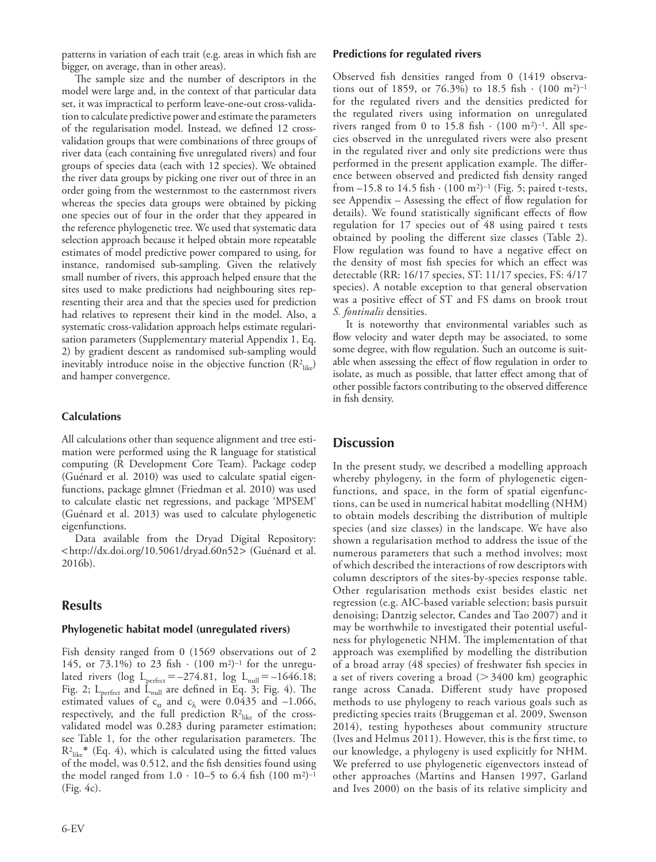patterns in variation of each trait (e.g. areas in which fish are bigger, on average, than in other areas).

The sample size and the number of descriptors in the model were large and, in the context of that particular data set, it was impractical to perform leave-one-out cross-validation to calculate predictive power and estimate the parameters of the regularisation model. Instead, we defined 12 crossvalidation groups that were combinations of three groups of river data (each containing five unregulated rivers) and four groups of species data (each with 12 species). We obtained the river data groups by picking one river out of three in an order going from the westernmost to the easternmost rivers whereas the species data groups were obtained by picking one species out of four in the order that they appeared in the reference phylogenetic tree. We used that systematic data selection approach because it helped obtain more repeatable estimates of model predictive power compared to using, for instance, randomised sub-sampling. Given the relatively small number of rivers, this approach helped ensure that the sites used to make predictions had neighbouring sites representing their area and that the species used for prediction had relatives to represent their kind in the model. Also, a systematic cross-validation approach helps estimate regularisation parameters (Supplementary material Appendix 1, Eq. 2) by gradient descent as randomised sub-sampling would inevitably introduce noise in the objective function  $(R^2_{\text{like}})$ and hamper convergence.

# **Calculations**

All calculations other than sequence alignment and tree estimation were performed using the R language for statistical computing (R Development Core Team). Package codep (Guénard et al. 2010) was used to calculate spatial eigenfunctions, package glmnet (Friedman et al. 2010) was used to calculate elastic net regressions, and package 'MPSEM' (Guénard et al. 2013) was used to calculate phylogenetic eigenfunctions.

Data available from the Dryad Digital Repository: <http://dx.doi.org/10.5061/dryad.60n52> (Guénard et al. 2016b).

# **Results**

## **Phylogenetic habitat model (unregulated rivers)**

Fish density ranged from 0 (1569 observations out of 2 145, or 73.1%) to 23 fish ⋅ (100 m2)–1 for the unregulated rivers (log  $L_{perfect} = -274.81$ , log  $L_{null} = -1646.18$ ; Fig. 2;  $L_{perfect}$  and  $\dot{L}_{null}$  are defined in Eq. 3; Fig. 4). The estimated values of  $c_{\alpha}$  and  $c_{\lambda}$  were 0.0435 and –1.066, respectively, and the full prediction  $\mathbb{R}^2_{\text{like}}$  of the crossvalidated model was 0.283 during parameter estimation; see Table 1, for the other regularisation parameters. The  $R^2_{\text{like}}$ <sup>\*</sup> (Eq. 4), which is calculated using the fitted values of the model, was 0.512, and the fish densities found using the model ranged from  $1.0 \cdot 10-5$  to 6.4 fish  $(100 \text{ m}^2)^{-1}$ (Fig. 4c).

## **Predictions for regulated rivers**

Observed fish densities ranged from 0 (1419 observations out of 1859, or 76.3%) to 18.5 fish  $\cdot$  (100 m<sup>2</sup>)<sup>-1</sup> for the regulated rivers and the densities predicted for the regulated rivers using information on unregulated rivers ranged from 0 to 15.8 fish  $\cdot$  (100 m<sup>2</sup>)<sup>-1</sup>. All species observed in the unregulated rivers were also present in the regulated river and only site predictions were thus performed in the present application example. The difference between observed and predicted fish density ranged from  $-15.8$  to  $14.5$  fish  $\cdot$  (100 m<sup>2</sup>)<sup>-1</sup> (Fig. 5; paired t-tests, see Appendix – Assessing the effect of flow regulation for details). We found statistically significant effects of flow regulation for 17 species out of 48 using paired t tests obtained by pooling the different size classes (Table 2). Flow regulation was found to have a negative effect on the density of most fish species for which an effect was detectable (RR: 16/17 species, ST: 11/17 species, FS: 4/17 species). A notable exception to that general observation was a positive effect of ST and FS dams on brook trout *S. fontinalis* densities.

It is noteworthy that environmental variables such as flow velocity and water depth may be associated, to some some degree, with flow regulation. Such an outcome is suitable when assessing the effect of flow regulation in order to isolate, as much as possible, that latter effect among that of other possible factors contributing to the observed difference in fish density.

# **Discussion**

In the present study, we described a modelling approach whereby phylogeny, in the form of phylogenetic eigenfunctions, and space, in the form of spatial eigenfunctions, can be used in numerical habitat modelling (NHM) to obtain models describing the distribution of multiple species (and size classes) in the landscape. We have also shown a regularisation method to address the issue of the numerous parameters that such a method involves; most of which described the interactions of row descriptors with column descriptors of the sites-by-species response table. Other regularisation methods exist besides elastic net regression (e.g. AIC-based variable selection; basis pursuit denoising; Dantzig selector, Candes and Tao 2007) and it may be worthwhile to investigated their potential usefulness for phylogenetic NHM. The implementation of that approach was exemplified by modelling the distribution of a broad array (48 species) of freshwater fish species in a set of rivers covering a broad ( $>$  3400 km) geographic range across Canada. Different study have proposed methods to use phylogeny to reach various goals such as predicting species traits (Bruggeman et al. 2009, Swenson 2014), testing hypotheses about community structure (Ives and Helmus 2011). However, this is the first time, to our knowledge, a phylogeny is used explicitly for NHM. We preferred to use phylogenetic eigenvectors instead of other approaches (Martins and Hansen 1997, Garland and Ives 2000) on the basis of its relative simplicity and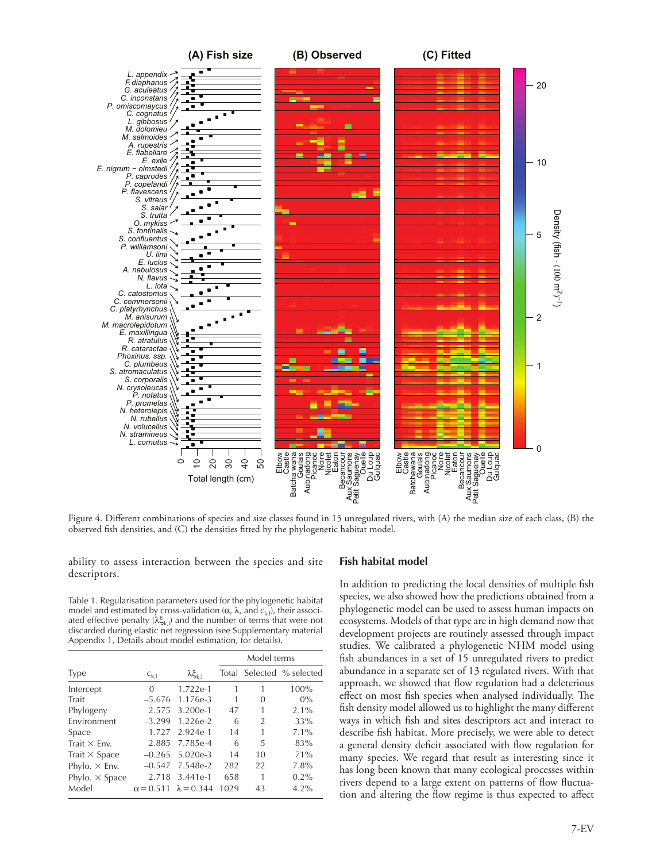

Figure 4. Different combinations of species and size classes found in 15 unregulated rivers, with (A) the median size of each class, (B) the observed fish densities, and (C) the densities fitted by the phylogenetic habitat model.

ability to assess interaction between the species and site descriptors.

Table 1. Regularisation parameters used for the phylogenetic habitat model and estimated by cross-validation ( $\alpha$ ,  $\lambda$ , and  $c_{k,l}$ ), their associated effective penalty  $(\lambda \xi_{k,l})$  and the number of terms that were not discarded during elastic net regression (see Supplementary material Appendix 1, Details about model estimation, for details).

|                       |                  |                         | Model terms |    |                           |
|-----------------------|------------------|-------------------------|-------------|----|---------------------------|
| <b>Type</b>           | $C_{k,l}$        | $\lambda \xi_{\rm k,l}$ |             |    | Total Selected % selected |
| Intercept             | 0                | $1.722e-1$              |             |    | 100%                      |
| Trait                 | $-5.676$         | 1.176e-3                | 1           | 0  | $0\%$                     |
| Phylogeny             | 2.575            | 3.200e-1                | 47          | 1  | 2.1%                      |
| Environment           | $-3.299$         | 1.226e-2                | 6           | 2  | 33%                       |
| Space                 | 1.727            | 2.924e-1                | 14          |    | $7.1\%$                   |
| Trait $\times$ Fnv.   | 2.885            | 7.785e-4                | 6           | 5  | 83%                       |
| Trait $\times$ Space  | $-0.265$         | 5.020e-3                | 14          | 10 | 71%                       |
| Phylo. $\times$ Env.  | $-0.547$         | 7.548e-2                | 282         | 22 | 7.8%                      |
| Phylo. $\times$ Space | 2.718            | $3.441e-1$              | 658         | 1  | $0.2\%$                   |
| Model                 | $\alpha = 0.511$ | $\lambda = 0.344$       | 1029        | 43 | $4.2\%$                   |

#### **Fish habitat model**

In addition to predicting the local densities of multiple fish species, we also showed how the predictions obtained from a phylogenetic model can be used to assess human impacts on ecosystems. Models of that type are in high demand now that development projects are routinely assessed through impact studies. We calibrated a phylogenetic NHM model using fish abundances in a set of 15 unregulated rivers to predict abundance in a separate set of 13 regulated rivers. With that approach, we showed that flow regulation had a deleterious effect on most fish species when analysed individually. The fish density model allowed us to highlight the many different ways in which fish and sites descriptors act and interact to describe fish habitat. More precisely, we were able to detect a general density deficit associated with flow regulation for many species. We regard that result as interesting since it has long been known that many ecological processes within rivers depend to a large extent on patterns of flow fluctuation and altering the flow regime is thus expected to affect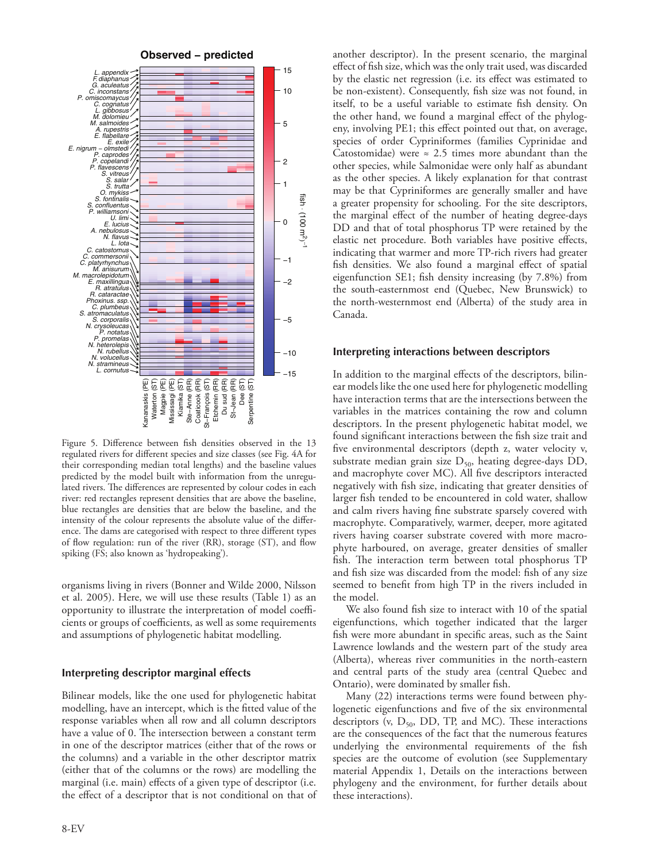

Figure 5. Difference between fish densities observed in the 13 regulated rivers for different species and size classes (see Fig. 4A for their corresponding median total lengths) and the baseline values predicted by the model built with information from the unregulated rivers. The differences are represented by colour codes in each river: red rectangles represent densities that are above the baseline, blue rectangles are densities that are below the baseline, and the intensity of the colour represents the absolute value of the difference. The dams are categorised with respect to three different types of flow regulation: run of the river (RR), storage (ST), and flow spiking (FS; also known as 'hydropeaking').

organisms living in rivers (Bonner and Wilde 2000, Nilsson et al. 2005). Here, we will use these results (Table 1) as an opportunity to illustrate the interpretation of model coefficients or groups of coefficients, as well as some requirements and assumptions of phylogenetic habitat modelling.

# **Interpreting descriptor marginal effects**

Bilinear models, like the one used for phylogenetic habitat modelling, have an intercept, which is the fitted value of the response variables when all row and all column descriptors have a value of 0. The intersection between a constant term in one of the descriptor matrices (either that of the rows or the columns) and a variable in the other descriptor matrix (either that of the columns or the rows) are modelling the marginal (i.e. main) effects of a given type of descriptor (i.e. the effect of a descriptor that is not conditional on that of another descriptor). In the present scenario, the marginal effect of fish size, which was the only trait used, was discarded by the elastic net regression (i.e. its effect was estimated to be non-existent). Consequently, fish size was not found, in itself, to be a useful variable to estimate fish density. On the other hand, we found a marginal effect of the phylogeny, involving PE1; this effect pointed out that, on average, species of order Cypriniformes (families Cyprinidae and Catostomidae) were  $\approx 2.5$  times more abundant than the other species, while Salmonidae were only half as abundant as the other species. A likely explanation for that contrast may be that Cypriniformes are generally smaller and have a greater propensity for schooling. For the site descriptors, the marginal effect of the number of heating degree-days DD and that of total phosphorus TP were retained by the elastic net procedure. Both variables have positive effects, indicating that warmer and more TP-rich rivers had greater fish densities. We also found a marginal effect of spatial eigenfunction SE1; fish density increasing (by 7.8%) from the south-easternmost end (Quebec, New Brunswick) to the north-westernmost end (Alberta) of the study area in Canada.

#### **Interpreting interactions between descriptors**

In addition to the marginal effects of the descriptors, bilinear models like the one used here for phylogenetic modelling have interaction terms that are the intersections between the variables in the matrices containing the row and column descriptors. In the present phylogenetic habitat model, we found significant interactions between the fish size trait and five environmental descriptors (depth z, water velocity v, substrate median grain size  $D_{50}$ , heating degree-days DD, and macrophyte cover MC). All five descriptors interacted negatively with fish size, indicating that greater densities of larger fish tended to be encountered in cold water, shallow and calm rivers having fine substrate sparsely covered with macrophyte. Comparatively, warmer, deeper, more agitated rivers having coarser substrate covered with more macrophyte harboured, on average, greater densities of smaller fish. The interaction term between total phosphorus TP and fish size was discarded from the model: fish of any size seemed to benefit from high TP in the rivers included in the model.

We also found fish size to interact with 10 of the spatial eigenfunctions, which together indicated that the larger fish were more abundant in specific areas, such as the Saint Lawrence lowlands and the western part of the study area (Alberta), whereas river communities in the north-eastern and central parts of the study area (central Quebec and Ontario), were dominated by smaller fish.

Many (22) interactions terms were found between phylogenetic eigenfunctions and five of the six environmental descriptors (v,  $D_{50}$ , DD, TP, and MC). These interactions are the consequences of the fact that the numerous features underlying the environmental requirements of the fish species are the outcome of evolution (see Supplementary material Appendix 1, Details on the interactions between phylogeny and the environment, for further details about these interactions).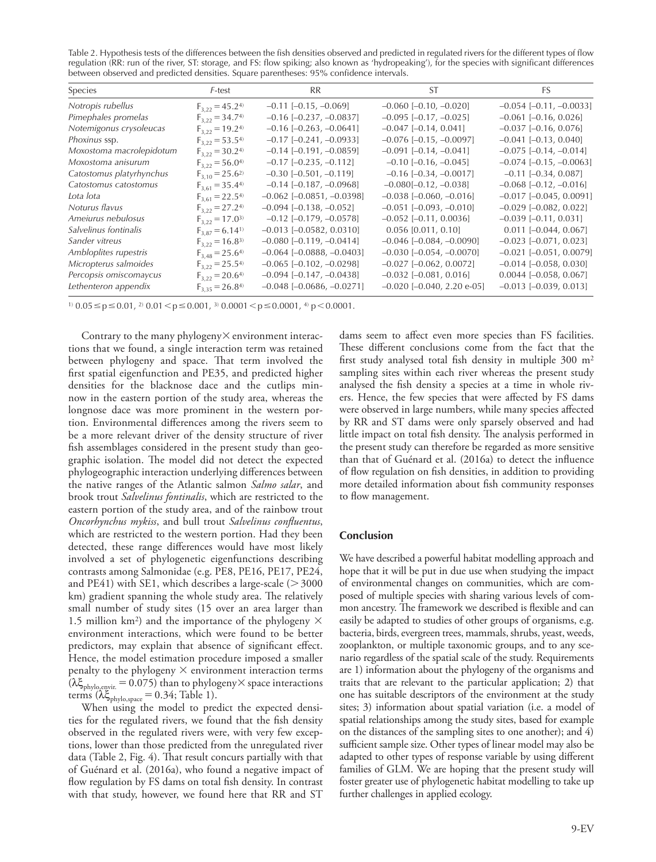Table 2. Hypothesis tests of the differences between the fish densities observed and predicted in regulated rivers for the different types of flow regulation (RR: run of the river, ST: storage, and FS: flow spiking; also known as 'hydropeaking'), for the species with significant differences between observed and predicted densities. Square parentheses: 95% confidence intervals.

| Species                  | F-test                 | <b>RR</b>                          | ST.                              | FS.                           |
|--------------------------|------------------------|------------------------------------|----------------------------------|-------------------------------|
| Notropis rubellus        | $F_{3,22} = 45.24$     | $-0.11$ $[-0.15, -0.069]$          | $-0.060$ $[-0.10, -0.020]$       | $-0.054$ $[-0.11, -0.0033]$   |
| Pimephales promelas      | $F_{3,22} = 34.74$     | $-0.16$ $[-0.237, -0.0837]$        | $-0.095$ $[-0.17, -0.025]$       | $-0.061$ $[-0.16, 0.026]$     |
| Notemigonus crysoleucas  | $F_{3.22} = 19.24$     | $-0.16$ $[-0.263, -0.0641]$        | $-0.047$ [ $-0.14$ , 0.041]      | $-0.037$ [ $-0.16$ , 0.076]   |
| Phoxinus ssp.            | $F_{3,22} = 53.54$     | $-0.17$ $[-0.241, -0.0933]$        | $-0.076$ $[-0.15, -0.0097]$      | $-0.041$ $[-0.13, 0.040]$     |
| Moxostoma macrolepidotum | $F_{3,22} = 30.24$     | $-0.14$ [ $-0.191$ , $-0.0859$ ]   | $-0.091$ $[-0.14, -0.041]$       | $-0.075$ $[-0.14, -0.014]$    |
| Moxostoma anisurum       | $F_{3,22} = 56.04$     | $-0.17$ $[-0.235, -0.112]$         | $-0.10$ $[-0.16, -0.045]$        | $-0.074$ $[-0.15, -0.0063]$   |
| Catostomus platyrhynchus | $F_{3,10} = 25.6^{20}$ | $-0.30$ $[-0.501, -0.119]$         | $-0.16$ $[-0.34, -0.0017]$       | $-0.11$ $[-0.34, 0.087]$      |
| Catostomus catostomus    | $F_{3.61} = 35.44$     | $-0.14$ [ $-0.187$ , $-0.0968$ ]   | $-0.080[-0.12, -0.038]$          | $-0.068$ $[-0.12, -0.016]$    |
| Lota lota                | $F_{3,61} = 22.54$     | $-0.062$ $[-0.0851, -0.0398]$      | $-0.038$ $[-0.060, -0.016]$      | $-0.017$ [ $-0.045$ , 0.0091] |
| Noturus flavus           | $F_{3,22} = 27.24$     | $-0.094$ [ $-0.138$ , $-0.052$ ]   | $-0.051$ $[-0.093, -0.010]$      | $-0.029$ $[-0.082, 0.022]$    |
| Ameiurus nebulosus       | $F_{3,22} = 17.0^{3}$  | $-0.12$ [ $-0.179$ , $-0.0578$ ]   | $-0.052$ [ $-0.11$ , 0.0036]     | $-0.039$ $[-0.11, 0.031]$     |
| Salvelinus fontinalis    | $F_{3.87} = 6.14^{1}$  | $-0.013$ $[-0.0582, 0.0310]$       | $0.056$ [0.011, 0.10]            | $0.011$ [-0.044, 0.067]       |
| Sander vitreus           | $F_{3,22} = 16.8^{3}$  | $-0.080$ [ $-0.119$ , $-0.0414$ ]  | $-0.046$ $[-0.084, -0.0090]$     | $-0.023$ $[-0.071, 0.023]$    |
| Ambloplites rupestris    | $F_{3,48} = 25.64$     | $-0.064$ [ $-0.0888$ , $-0.0403$ ] | $-0.030$ $[-0.054, -0.0070]$     | $-0.021$ [ $-0.051$ , 0.0079] |
| Micropterus salmoides    | $F_{3,22} = 25.5^{4}$  | $-0.065$ $[-0.102, -0.0298]$       | $-0.027$ [ $-0.062$ , 0.0072]    | $-0.014$ $[-0.058, 0.030]$    |
| Percopsis omiscomaycus   | $F_{3,22} = 20.64$     | $-0.094$ $[-0.147, -0.0438]$       | $-0.032$ $[-0.081, 0.016]$       | $0.0044$ [-0.058, 0.067]      |
| Lethenteron appendix     | $F_{3.35} = 26.84$     | $-0.048$ [ $-0.0686$ , $-0.0271$ ] | $-0.020$ [ $-0.040$ , 2.20 e-05] | $-0.013$ $[-0.039, 0.013]$    |

 $1)$  0.05  $\leq$  p $\leq$  0.01,  $2)$  0.01  $\leq$  p $\leq$  0.001, 3) 0.0001  $\leq$  p $\leq$  0.0001, 4) p $\leq$  0.0001.

Contrary to the many phylogeny $\times$  environment interactions that we found, a single interaction term was retained between phylogeny and space. That term involved the first spatial eigenfunction and PE35, and predicted higher densities for the blacknose dace and the cutlips minnow in the eastern portion of the study area, whereas the longnose dace was more prominent in the western portion. Environmental differences among the rivers seem to be a more relevant driver of the density structure of river fish assemblages considered in the present study than geographic isolation. The model did not detect the expected phylogeographic interaction underlying differences between the native ranges of the Atlantic salmon *Salmo salar*, and brook trout *Salvelinus fontinalis*, which are restricted to the eastern portion of the study area, and of the rainbow trout *Oncorhynchus mykiss*, and bull trout *Salvelinus confluentus*, which are restricted to the western portion. Had they been detected, these range differences would have most likely involved a set of phylogenetic eigenfunctions describing contrasts among Salmonidae (e.g. PE8, PE16, PE17, PE24, and PE41) with SE1, which describes a large-scale ( $>$  3000 km) gradient spanning the whole study area. The relatively small number of study sites (15 over an area larger than 1.5 million km<sup>2</sup>) and the importance of the phylogeny  $\times$ environment interactions, which were found to be better predictors, may explain that absence of significant effect. Hence, the model estimation procedure imposed a smaller penalty to the phylogeny  $\times$  environment interaction terms  $(\lambda \xi_{\text{phylo,envir.}} = 0.075)$  than to phylogeny $\times$  space interactions terms ( $\lambda \xi_{\text{phylo,space}} = 0.34$ ; Table 1).

When using the model to predict the expected densities for the regulated rivers, we found that the fish density observed in the regulated rivers were, with very few exceptions, lower than those predicted from the unregulated river data (Table 2, Fig. 4). That result concurs partially with that of Guénard et al. (2016a), who found a negative impact of flow regulation by FS dams on total fish density. In contrast with that study, however, we found here that RR and ST

dams seem to affect even more species than FS facilities. These different conclusions come from the fact that the first study analysed total fish density in multiple 300 m2 sampling sites within each river whereas the present study analysed the fish density a species at a time in whole rivers. Hence, the few species that were affected by FS dams were observed in large numbers, while many species affected by RR and ST dams were only sparsely observed and had little impact on total fish density. The analysis performed in the present study can therefore be regarded as more sensitive than that of Guénard et al. (2016a) to detect the influence of flow regulation on fish densities, in addition to providing more detailed information about fish community responses to flow management.

## **Conclusion**

We have described a powerful habitat modelling approach and hope that it will be put in due use when studying the impact of environmental changes on communities, which are composed of multiple species with sharing various levels of common ancestry. The framework we described is flexible and can easily be adapted to studies of other groups of organisms, e.g. bacteria, birds, evergreen trees, mammals, shrubs, yeast, weeds, zooplankton, or multiple taxonomic groups, and to any scenario regardless of the spatial scale of the study. Requirements are 1) information about the phylogeny of the organisms and traits that are relevant to the particular application; 2) that one has suitable descriptors of the environment at the study sites; 3) information about spatial variation (i.e. a model of spatial relationships among the study sites, based for example on the distances of the sampling sites to one another); and 4) sufficient sample size. Other types of linear model may also be adapted to other types of response variable by using different families of GLM. We are hoping that the present study will foster greater use of phylogenetic habitat modelling to take up further challenges in applied ecology.